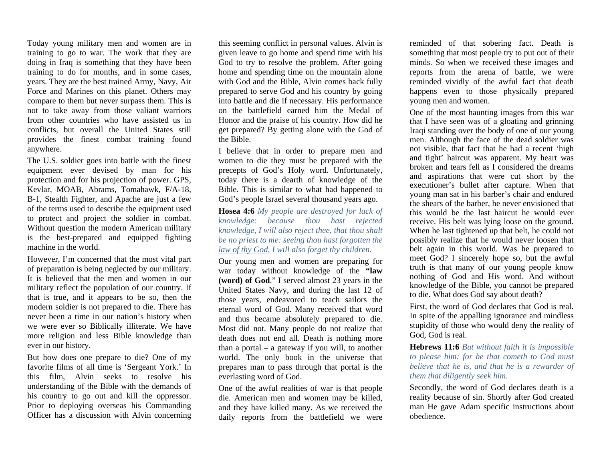Today young military men and women are in training to go to war. The work that they are doing in Iraq is something that they have been training to do for months, and in some cases, years. They are the best trained Army, Navy, Air Force and Marines on this planet. Others may compare to them but never surpass them. This is not to take away from those valiant warriors from other countries who have assisted us in conflicts, but overall the United States still provides the finest combat training found anywhere.

The U.S. soldier goes into battle with the finest equipment ever devised by man for his protection and for his projection of power. GPS, Kevlar, MOAB, Abrams, Tomahawk, F/A-18, B-1, Stealth Fighter, and Apache are just a few of the terms used to describe the equipment used to protect and project the soldier in combat. Without question the modern American military is the best-prepared and equipped fighting machine in the world.

However, I'm concerned that the most vital part of preparation is being neglected by our military. It is believed that the men and women in our military reflect the population of our country. If that is true, and it appears to be so, then the modern soldier is not prepared to die. There has never been a time in our nation's history when we were ever so Biblically illiterate. We have more religion and less Bible knowledge than ever in our history.

But how does one prepare to die? One of my favorite films of all time is 'Sergeant York.' In this film, Alvin seeks to resolve his understanding of the Bible with the demands of his country to go out and kill the oppressor. Prior to deploying overseas his Commanding Officer has a discussion with Alvin concerning

this seeming conflict in personal values. Alvin is given leave to go home and spend time with his God to try to resolve the problem. After going home and spending time on the mountain alone with God and the Bible, Alvin comes back fully prepared to serve God and his country by going into battle and die if necessary. His performance on the battlefield earned him the Medal of Honor and the praise of his country. How did he get prepared? By getting alone with the God of the Bible.

I believe that in order to prepare men and women to die they must be prepared with the precepts of God's Holy word. Unfortunately, today there is a dearth of knowledge of the Bible. This is similar to what had happened to God's people Israel several thousand years ago.

**Hosea 4:6** *My people are destroyed for lack of knowledge: because thou hast rejected knowledge, I will also reject thee, that thou shalt be no priest to me: seeing thou hast forgotten the law of thy God, I will also forget thy children.*

Our young men and women are preparing for war today without knowledge of the **"law (word) of God**." I served almost 23 years in the United States Navy, and during the last 12 of those years, endeavored to teach sailors the eternal word of God. Many received that word and thus became absolutely prepared to die. Most did not. Many people do not realize that death does not end all. Death is nothing more than a portal – a gateway if you will, to another world. The only book in the universe that prepares man to pass through that portal is the everlasting word of God.

One of the awful realities of war is that people die. American men and women may be killed, and they have killed many. As we received the daily reports from the battlefield we were reminded of that sobering fact. Death is something that most people try to put out of their minds. So when we received these images and reports from the arena of battle, we were reminded vividly of the awful fact that death happens even to those physically prepared young men and women.

One of the most haunting images from this war that I have seen was of a gloating and grinning Iraqi standing over the body of one of our young men. Although the face of the dead soldier was not visible, that fact that he had a recent 'high and tight' haircut was apparent. My heart was broken and tears fell as I considered the dreams and aspirations that were cut short by the executioner's bullet after capture. When that young man sat in his barber's chair and endured the shears of the barber, he never envisioned that this would be the last haircut he would ever receive. His belt was lying loose on the ground. When he last tightened up that belt, he could not possibly realize that he would never loosen that belt again in this world. Was he prepared to meet God? I sincerely hope so, but the awful truth is that many of our young people know nothing of God and His word. And without knowledge of the Bible, you cannot be prepared to die. What does God say about death?

First, the word of God declares that God is real. In spite of the appalling ignorance and mindless stupidity of those who would deny the reality of God, God is real.

**Hebrews 11:6** *But without faith it is impossible to please him: for he that cometh to God must believe that he is, and that he is a rewarder of them that diligently seek him.*

Secondly, the word of God declares death is a reality because of sin. Shortly after God created man He gave Adam specific instructions about obedience.